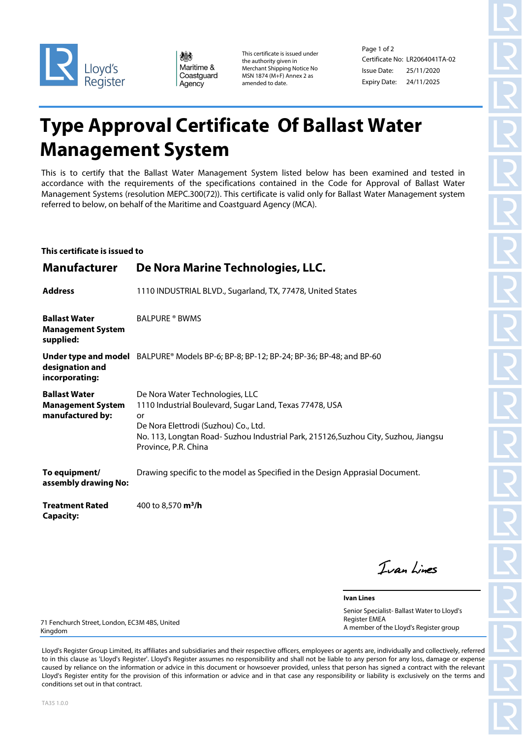

| 爆          |
|------------|
| Maritime & |
| Coastguard |
| Agency     |

This certificate is issued under the authority given in Merchant Shipping Notice No MSN 1874 (M+F) Annex 2 as amended to date.

Page 1 of 2 Certificate No: LR2064041TA-02 Issue Date: Expiry Date: 24/11/2025 25/11/2020

## **Type Approval Certificate Of Ballast Water Management System**

This is to certify that the Ballast Water Management System listed below has been examined and tested in accordance with the requirements of the specifications contained in the Code for Approval of Ballast Water Management Systems (resolution MEPC.300(72)). This certificate is valid only for Ballast Water Management system referred to below, on behalf of the Maritime and Coastguard Agency (MCA).

## **This certificate is issued to**

| <b>Manufacturer</b>                                                  | De Nora Marine Technologies, LLC.                                                                                                                                                                                                                       |
|----------------------------------------------------------------------|---------------------------------------------------------------------------------------------------------------------------------------------------------------------------------------------------------------------------------------------------------|
| <b>Address</b>                                                       | 1110 INDUSTRIAL BLVD., Sugarland, TX, 77478, United States                                                                                                                                                                                              |
| <b>Ballast Water</b><br><b>Management System</b><br>supplied:        | <b>BALPURE ® BWMS</b>                                                                                                                                                                                                                                   |
| designation and<br>incorporating:                                    | Under type and model BALPURE® Models BP-6; BP-8; BP-12; BP-24; BP-36; BP-48; and BP-60                                                                                                                                                                  |
| <b>Ballast Water</b><br><b>Management System</b><br>manufactured by: | De Nora Water Technologies, LLC<br>1110 Industrial Boulevard, Sugar Land, Texas 77478, USA<br>or<br>De Nora Elettrodi (Suzhou) Co., Ltd.<br>No. 113, Longtan Road- Suzhou Industrial Park, 215126, Suzhou City, Suzhou, Jiangsu<br>Province, P.R. China |
| To equipment/<br>assembly drawing No:                                | Drawing specific to the model as Specified in the Design Apprasial Document.                                                                                                                                                                            |
| <b>Treatment Rated</b><br><b>Capacity:</b>                           | 400 to 8,570 m <sup>3</sup> /h                                                                                                                                                                                                                          |

Ivan Lines

**Ivan Lines** Senior Specialist- Ballast Water to Lloyd's Register EMEA A member of the Lloyd's Register group

71 Fenchurch Street, London, EC3M 4BS, United Kingdom

Lloyd's Register Group Limited, its affiliates and subsidiaries and their respective officers, employees or agents are, individually and collectively, referred to in this clause as 'Lloyd's Register'. Lloyd's Register assumes no responsibility and shall not be liable to any person for any loss, damage or expense caused by reliance on the information or advice in this document or howsoever provided, unless that person has signed a contract with the relevant Lloyd's Register entity for the provision of this information or advice and in that case any responsibility or liability is exclusively on the terms and conditions set out in that contract.